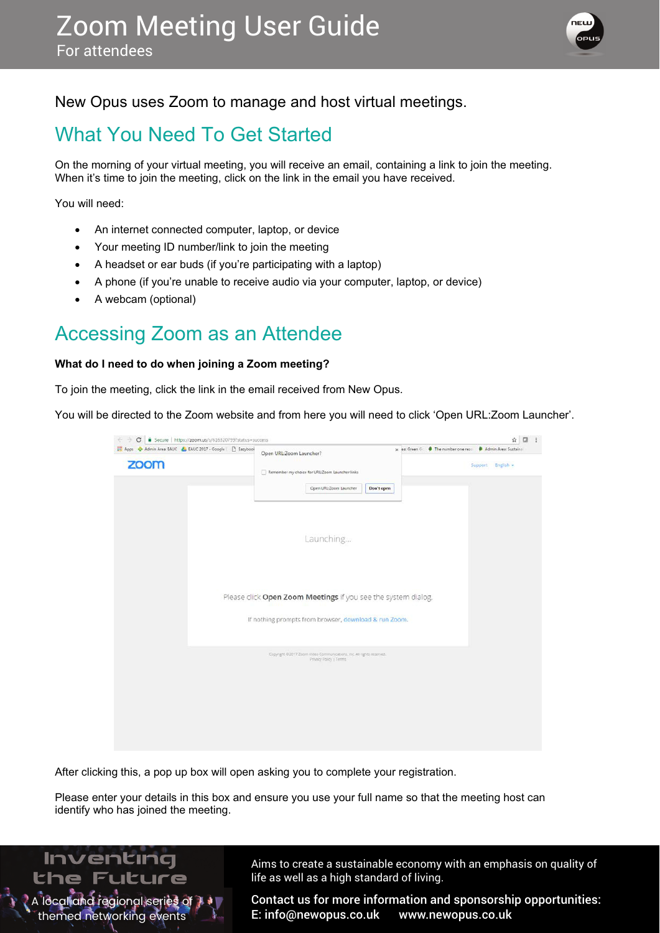

### New Opus uses Zoom to manage and host virtual meetings.

# What You Need To Get Started

On the morning of your virtual meeting, you will receive an email, containing a link to join the meeting. When it's time to join the meeting, click on the link in the email you have received.

You will need:

- An internet connected computer, laptop, or device
- Your meeting ID number/link to join the meeting
- A headset or ear buds (if you're participating with a laptop)
- A phone (if you're unable to receive audio via your computer, laptop, or device)
- A webcam (optional)

### Accessing Zoom as an Attendee

#### **What do I need to do when joining a Zoom meeting?**

To join the meeting, click the link in the email received from New Opus.

You will be directed to the Zoom website and from here you will need to click 'Open URL:Zoom Launcher'.

| zoom<br>Support English -<br>Remember my choice for URL/Zoom Launcher links<br>Open URL:Zoom Launcher<br>Don't open<br>Launching<br>Please click Open Zoom Meetings if you see the system dialog.<br>If nothing prompts from browser, download & run Zoom.<br>Copyright @2017 Zoom Video Communications, Inc. All rights reserved.<br>Privacy Policy   Terms | Hi Apps<br>Admin Area: EAUC<br>& EAUC 2017 - Google   [] Eazybook | Open URL:Zoom Launcher? | x ea: Green C  The number one reso<br>Admin Area: Sustainal |
|--------------------------------------------------------------------------------------------------------------------------------------------------------------------------------------------------------------------------------------------------------------------------------------------------------------------------------------------------------------|-------------------------------------------------------------------|-------------------------|-------------------------------------------------------------|
|                                                                                                                                                                                                                                                                                                                                                              |                                                                   |                         |                                                             |
|                                                                                                                                                                                                                                                                                                                                                              |                                                                   |                         |                                                             |
|                                                                                                                                                                                                                                                                                                                                                              |                                                                   |                         |                                                             |
|                                                                                                                                                                                                                                                                                                                                                              |                                                                   |                         |                                                             |
|                                                                                                                                                                                                                                                                                                                                                              |                                                                   |                         |                                                             |

After clicking this, a pop up box will open asking you to complete your registration.

Please enter your details in this box and ensure you use your full name so that the meeting host can identify who has joined the meeting.



Aims to create a sustainable economy with an emphasis on quality of life as well as a high standard of living.

Contact us for more information and sponsorship opportunities: E: info@newopus.co.uk www.newopus.co.uk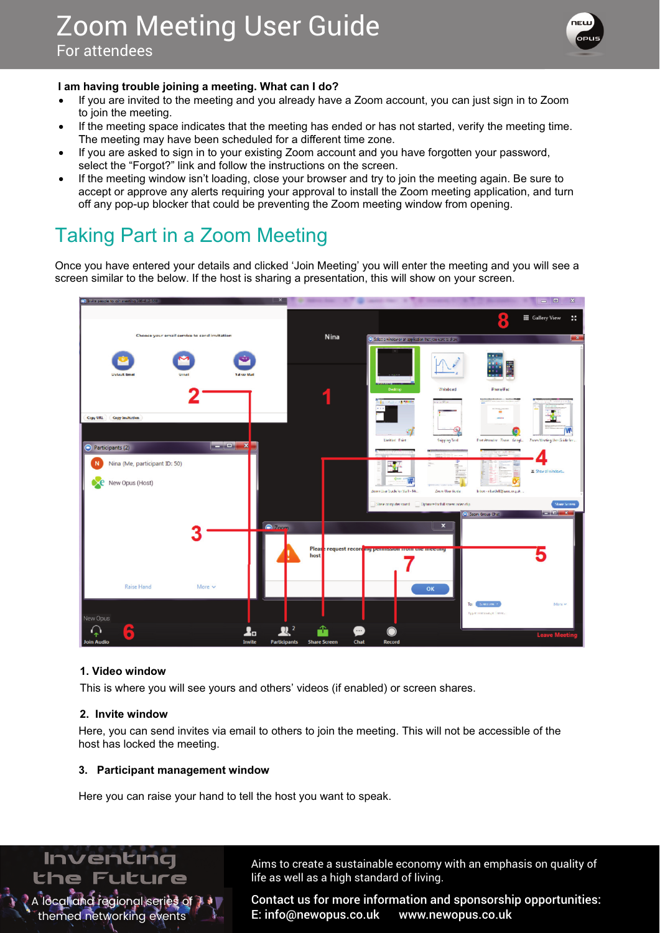

#### **l** am having trouble joining a meeting. What can I do?

- If you are invited to the meeting and you already have a Zoom account, you can just sign in to Zoom to join the meeting.
- If the meeting space indicates that the meeting has ended or has not started, verify the meeting time. The meeting may have been scheduled for a different time zone.
- If you are asked to sign in to your existing Zoom account and you have forgotten your password, select the "Forgot?" link and follow the instructions on the screen.
- If the meeting window isn't loading, close your browser and try to join the meeting again. Be sure to accept or approve any alerts requiring your approval to install the Zoom meeting application, and turn off any pop-up blocker that could be preventing the Zoom meeting window from opening. e meeting may have been scheduled for a different time zone.<br>
You are asked to sign in to your existing Zoom account and you have forgotten your pase<br>
lect the "Forgot?" link and follow the instructions on the screen.<br>
the

# Taking Part in a Zoom Meeting

Once you have entered your details and clicked 'Join Meeting' you will enter the meeting and you will see a screen similar to the below. If the host is sharing a presentation, this will show on your screen.



#### **1. Video window**

This is where you will see yours and others' videos (if enabled) or screen shares.

#### **2.** Invite window

A local and regional series of  $\overline{J}$ themed networking events

Inventing the Future

Here, you can send invites via email to others to join the meeting. This will not be accessible of the host has locked the meeting.

#### **3. Participant management window**

Here you can raise your hand to tell the host you want to speak.

Aims to create a sustainable economy with an emphasis on quality of life as well as a high standard of living.

Contact us for more information and sponsorship opportunities: E: info@newopus.co.uk www.newopus.co.uk